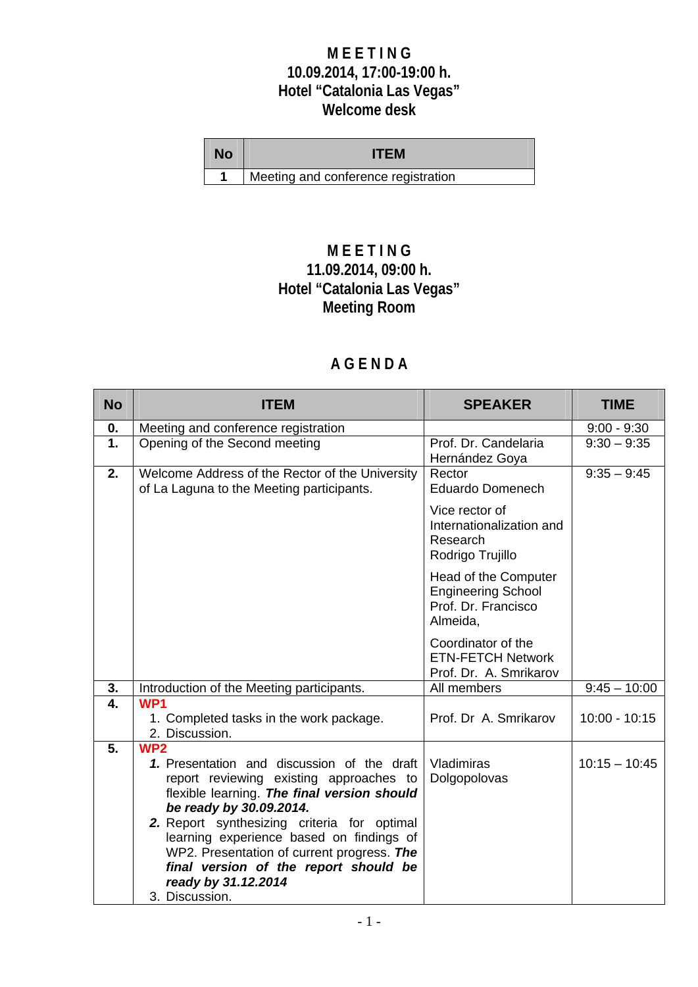## **M E E T I N G 10.09.2014, 17:00-19:00 h. Hotel "Catalonia Las Vegas" Welcome desk**

| <b>No</b> | <b>ITEM</b>                         |
|-----------|-------------------------------------|
|           | Meeting and conference registration |

# **M E E T I N G 11.09.2014, 09:00 h. Hotel "Catalonia Las Vegas" Meeting Room**

# **A G E N D A**

| <b>No</b>     | <b>ITEM</b>                                                                                                                                                                                                                                                                                                                                                                                  | <b>SPEAKER</b>                                                                       | <b>TIME</b>     |
|---------------|----------------------------------------------------------------------------------------------------------------------------------------------------------------------------------------------------------------------------------------------------------------------------------------------------------------------------------------------------------------------------------------------|--------------------------------------------------------------------------------------|-----------------|
| 0.            | Meeting and conference registration                                                                                                                                                                                                                                                                                                                                                          |                                                                                      | $9:00 - 9:30$   |
| $\mathbf 1$ . | Opening of the Second meeting                                                                                                                                                                                                                                                                                                                                                                | Prof. Dr. Candelaria<br>Hernández Goya                                               | $9:30 - 9:35$   |
| 2.            | Welcome Address of the Rector of the University<br>of La Laguna to the Meeting participants.                                                                                                                                                                                                                                                                                                 | Rector<br><b>Eduardo Domenech</b>                                                    | $9:35 - 9:45$   |
|               |                                                                                                                                                                                                                                                                                                                                                                                              | Vice rector of<br>Internationalization and<br>Research<br>Rodrigo Trujillo           |                 |
|               |                                                                                                                                                                                                                                                                                                                                                                                              | Head of the Computer<br><b>Engineering School</b><br>Prof. Dr. Francisco<br>Almeida, |                 |
|               |                                                                                                                                                                                                                                                                                                                                                                                              | Coordinator of the<br><b>ETN-FETCH Network</b><br>Prof. Dr. A. Smrikarov             |                 |
| 3.            | Introduction of the Meeting participants.                                                                                                                                                                                                                                                                                                                                                    | All members                                                                          | $9:45 - 10:00$  |
| 4.            | WP1                                                                                                                                                                                                                                                                                                                                                                                          |                                                                                      |                 |
|               | 1. Completed tasks in the work package.                                                                                                                                                                                                                                                                                                                                                      | Prof. Dr A. Smrikarov                                                                | $10:00 - 10:15$ |
|               | 2. Discussion.                                                                                                                                                                                                                                                                                                                                                                               |                                                                                      |                 |
| 5.            | WP <sub>2</sub><br>1. Presentation and discussion of the draft<br>report reviewing existing approaches to<br>flexible learning. The final version should<br>be ready by 30.09.2014.<br>2. Report synthesizing criteria for optimal<br>learning experience based on findings of<br>WP2. Presentation of current progress. The<br>final version of the report should be<br>ready by 31.12.2014 | Vladimiras<br>Dolgopolovas                                                           | $10:15 - 10:45$ |
|               | 3. Discussion.                                                                                                                                                                                                                                                                                                                                                                               |                                                                                      |                 |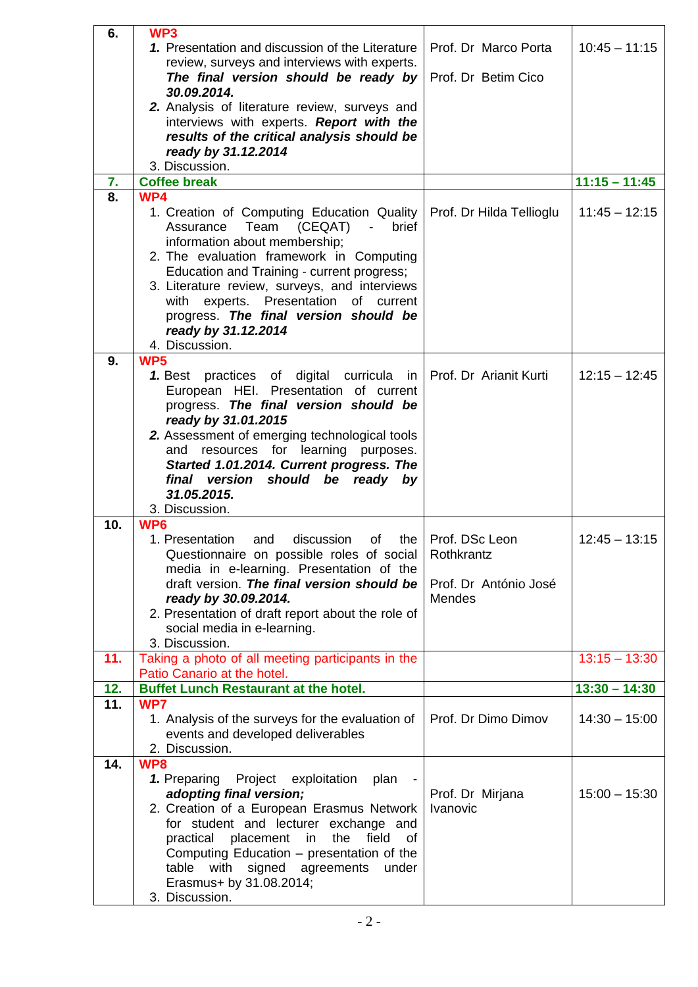| 6.       | WP <sub>3</sub>                                        |                          |                 |
|----------|--------------------------------------------------------|--------------------------|-----------------|
|          | 1. Presentation and discussion of the Literature       | Prof. Dr Marco Porta     | $10:45 - 11:15$ |
|          | review, surveys and interviews with experts.           |                          |                 |
|          | The final version should be ready by                   | Prof. Dr Betim Cico      |                 |
|          | 30.09.2014.                                            |                          |                 |
|          | 2. Analysis of literature review, surveys and          |                          |                 |
|          | interviews with experts. Report with the               |                          |                 |
|          | results of the critical analysis should be             |                          |                 |
|          | ready by 31.12.2014<br>3. Discussion.                  |                          |                 |
|          | <b>Coffee break</b>                                    |                          | $11:15 - 11:45$ |
| 7.<br>8. | WP4                                                    |                          |                 |
|          | 1. Creation of Computing Education Quality             | Prof. Dr Hilda Tellioglu | $11:45 - 12:15$ |
|          | (CEQAT)<br>Assurance<br>Team<br>$\sim$ $\sim$<br>brief |                          |                 |
|          | information about membership;                          |                          |                 |
|          | 2. The evaluation framework in Computing               |                          |                 |
|          | Education and Training - current progress;             |                          |                 |
|          | 3. Literature review, surveys, and interviews          |                          |                 |
|          | with<br>experts. Presentation<br>of current            |                          |                 |
|          | progress. The final version should be                  |                          |                 |
|          | ready by 31.12.2014                                    |                          |                 |
|          | 4. Discussion.                                         |                          |                 |
| 9.       | WP5                                                    |                          |                 |
|          | 1. Best practices of digital curricula in              | Prof. Dr Arianit Kurti   | $12:15 - 12:45$ |
|          | European HEI. Presentation of current                  |                          |                 |
|          | progress. The final version should be                  |                          |                 |
|          | ready by 31.01.2015                                    |                          |                 |
|          | 2. Assessment of emerging technological tools          |                          |                 |
|          | resources for learning purposes.<br>and                |                          |                 |
|          | Started 1.01.2014. Current progress. The               |                          |                 |
|          | final version<br>should be ready by<br>31.05.2015.     |                          |                 |
|          | 3. Discussion.                                         |                          |                 |
| 10.      | WP6                                                    |                          |                 |
|          | 1. Presentation<br>and<br>discussion<br>the<br>οf      | Prof. DSc Leon           | $12:45 - 13:15$ |
|          | Questionnaire on possible roles of social              | Rothkrantz               |                 |
|          | media in e-learning. Presentation of the               |                          |                 |
|          | draft version. The final version should be             | Prof. Dr António José    |                 |
|          | ready by 30.09.2014.                                   | Mendes                   |                 |
|          | 2. Presentation of draft report about the role of      |                          |                 |
|          | social media in e-learning.                            |                          |                 |
|          | 3. Discussion.                                         |                          |                 |
| 11.      | Taking a photo of all meeting participants in the      |                          | $13:15 - 13:30$ |
|          | Patio Canario at the hotel.                            |                          |                 |
| 12.      | <b>Buffet Lunch Restaurant at the hotel.</b>           |                          | $13:30 - 14:30$ |
| 11.      | WP7                                                    |                          |                 |
|          | 1. Analysis of the surveys for the evaluation of       | Prof. Dr Dimo Dimov      | $14:30 - 15:00$ |
|          | events and developed deliverables<br>2. Discussion.    |                          |                 |
| 14.      | WP8                                                    |                          |                 |
|          | 1. Preparing<br>Project<br>plan<br>exploitation        |                          |                 |
|          | adopting final version;                                | Prof. Dr Mirjana         | $15:00 - 15:30$ |
|          | 2. Creation of a European Erasmus Network              | Ivanovic                 |                 |
|          | for student and lecturer exchange and                  |                          |                 |
|          | practical placement<br>the<br>field<br>in<br>οf        |                          |                 |
|          | Computing Education - presentation of the              |                          |                 |
|          | table with signed agreements<br>under                  |                          |                 |
|          | Erasmus+ by 31.08.2014;                                |                          |                 |
|          | 3. Discussion.                                         |                          |                 |